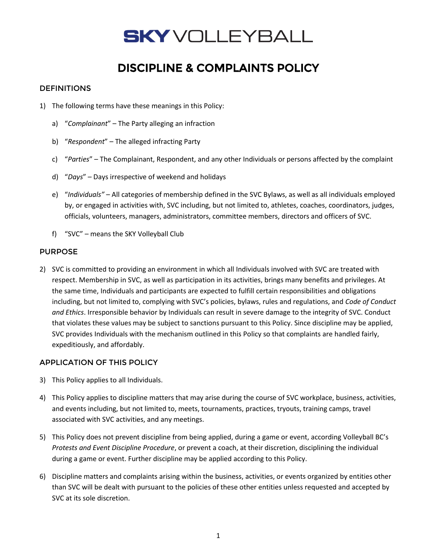### DISCIPLINE & COMPLAINTS POLICY

### **DEFINITIONS**

- 1) The following terms have these meanings in this Policy:
	- a) "*Complainant*" The Party alleging an infraction
	- b) "*Respondent*" The alleged infracting Party
	- c) "*Parties*" The Complainant, Respondent, and any other Individuals or persons affected by the complaint
	- d) "*Days*" Days irrespective of weekend and holidays
	- e) "*Individuals"*  All categories of membership defined in the SVC Bylaws, as well as all individuals employed by, or engaged in activities with, SVC including, but not limited to, athletes, coaches, coordinators, judges, officials, volunteers, managers, administrators, committee members, directors and officers of SVC.
	- f) "SVC" means the SKY Volleyball Club

### PURPOSE

2) SVC is committed to providing an environment in which all Individuals involved with SVC are treated with respect. Membership in SVC, as well as participation in its activities, brings many benefits and privileges. At the same time, Individuals and participants are expected to fulfill certain responsibilities and obligations including, but not limited to, complying with SVC's policies, bylaws, rules and regulations, and *Code of Conduct and Ethics*. Irresponsible behavior by Individuals can result in severe damage to the integrity of SVC. Conduct that violates these values may be subject to sanctions pursuant to this Policy. Since discipline may be applied, SVC provides Individuals with the mechanism outlined in this Policy so that complaints are handled fairly, expeditiously, and affordably.

### APPLICATION OF THIS POLICY

- 3) This Policy applies to all Individuals.
- 4) This Policy applies to discipline matters that may arise during the course of SVC workplace, business, activities, and events including, but not limited to, meets, tournaments, practices, tryouts, training camps, travel associated with SVC activities, and any meetings.
- 5) This Policy does not prevent discipline from being applied, during a game or event, according Volleyball BC's *Protests and Event Discipline Procedure*, or prevent a coach, at their discretion, disciplining the individual during a game or event. Further discipline may be applied according to this Policy.
- 6) Discipline matters and complaints arising within the business, activities, or events organized by entities other than SVC will be dealt with pursuant to the policies of these other entities unless requested and accepted by SVC at its sole discretion.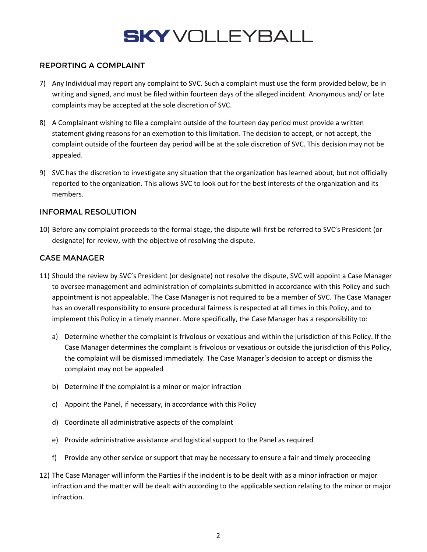### REPORTING A COMPLAINT

- 7) Any Individual may report any complaint to SVC. Such a complaint must use the form provided below, be in writing and signed, and must be filed within fourteen days of the alleged incident. Anonymous and/ or late complaints may be accepted at the sole discretion of SVC.
- 8) A Complainant wishing to file a complaint outside of the fourteen day period must provide a written statement giving reasons for an exemption to this limitation. The decision to accept, or not accept, the complaint outside of the fourteen day period will be at the sole discretion of SVC. This decision may not be appealed.
- 9) SVC has the discretion to investigate any situation that the organization has learned about, but not officially reported to the organization. This allows SVC to look out for the best interests of the organization and its members.

### INFORMAL RESOLUTION

10) Before any complaint proceeds to the formal stage, the dispute will first be referred to SVC's President (or designate) for review, with the objective of resolving the dispute.

### CASE MANAGER

- 11) Should the review by SVC's President (or designate) not resolve the dispute, SVC will appoint a Case Manager to oversee management and administration of complaints submitted in accordance with this Policy and such appointment is not appealable. The Case Manager is not required to be a member of SVC. The Case Manager has an overall responsibility to ensure procedural fairness is respected at all times in this Policy, and to implement this Policy in a timely manner. More specifically, the Case Manager has a responsibility to:
	- a) Determine whether the complaint is frivolous or vexatious and within the jurisdiction of this Policy. If the Case Manager determines the complaint is frivolous or vexatious or outside the jurisdiction of this Policy, the complaint will be dismissed immediately. The Case Manager's decision to accept or dismiss the complaint may not be appealed
	- b) Determine if the complaint is a minor or major infraction
	- c) Appoint the Panel, if necessary, in accordance with this Policy
	- d) Coordinate all administrative aspects of the complaint
	- e) Provide administrative assistance and logistical support to the Panel as required
	- f) Provide any other service or support that may be necessary to ensure a fair and timely proceeding
- 12) The Case Manager will inform the Parties if the incident is to be dealt with as a minor infraction or major infraction and the matter will be dealt with according to the applicable section relating to the minor or major infraction.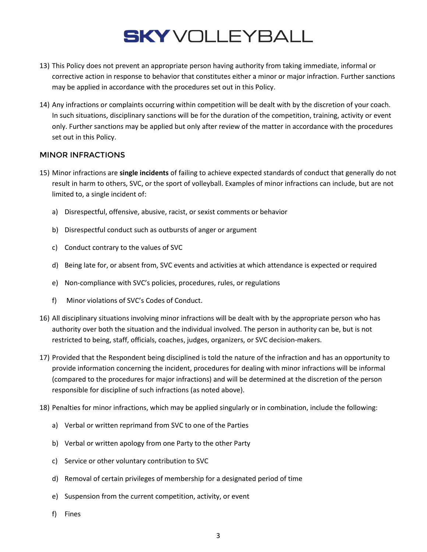- 13) This Policy does not prevent an appropriate person having authority from taking immediate, informal or corrective action in response to behavior that constitutes either a minor or major infraction. Further sanctions may be applied in accordance with the procedures set out in this Policy.
- 14) Any infractions or complaints occurring within competition will be dealt with by the discretion of your coach. In such situations, disciplinary sanctions will be for the duration of the competition, training, activity or event only. Further sanctions may be applied but only after review of the matter in accordance with the procedures set out in this Policy.

#### MINOR INFRACTIONS

- 15) Minor infractions are **single incidents** of failing to achieve expected standards of conduct that generally do not result in harm to others, SVC, or the sport of volleyball. Examples of minor infractions can include, but are not limited to, a single incident of:
	- a) Disrespectful, offensive, abusive, racist, or sexist comments or behavior
	- b) Disrespectful conduct such as outbursts of anger or argument
	- c) Conduct contrary to the values of SVC
	- d) Being late for, or absent from, SVC events and activities at which attendance is expected or required
	- e) Non-compliance with SVC's policies, procedures, rules, or regulations
	- f) Minor violations of SVC's Codes of Conduct.
- 16) All disciplinary situations involving minor infractions will be dealt with by the appropriate person who has authority over both the situation and the individual involved. The person in authority can be, but is not restricted to being, staff, officials, coaches, judges, organizers, or SVC decision-makers.
- 17) Provided that the Respondent being disciplined is told the nature of the infraction and has an opportunity to provide information concerning the incident, procedures for dealing with minor infractions will be informal (compared to the procedures for major infractions) and will be determined at the discretion of the person responsible for discipline of such infractions (as noted above).
- 18) Penalties for minor infractions, which may be applied singularly or in combination, include the following:
	- a) Verbal or written reprimand from SVC to one of the Parties
	- b) Verbal or written apology from one Party to the other Party
	- c) Service or other voluntary contribution to SVC
	- d) Removal of certain privileges of membership for a designated period of time
	- e) Suspension from the current competition, activity, or event
	- f) Fines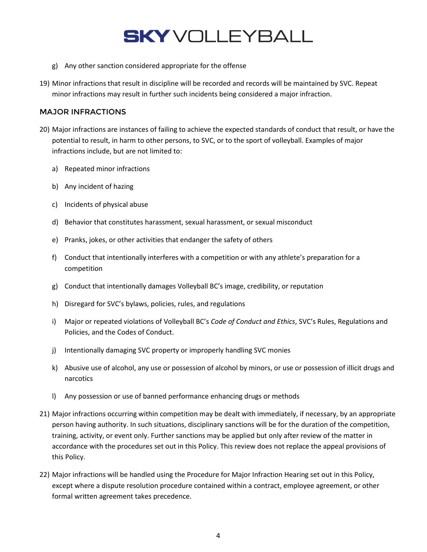- g) Any other sanction considered appropriate for the offense
- 19) Minor infractions that result in discipline will be recorded and records will be maintained by SVC. Repeat minor infractions may result in further such incidents being considered a major infraction.

#### MAJOR INFRACTIONS

- 20) Major infractions are instances of failing to achieve the expected standards of conduct that result, or have the potential to result, in harm to other persons, to SVC, or to the sport of volleyball. Examples of major infractions include, but are not limited to:
	- a) Repeated minor infractions
	- b) Any incident of hazing
	- c) Incidents of physical abuse
	- d) Behavior that constitutes harassment, sexual harassment, or sexual misconduct
	- e) Pranks, jokes, or other activities that endanger the safety of others
	- f) Conduct that intentionally interferes with a competition or with any athlete's preparation for a competition
	- g) Conduct that intentionally damages Volleyball BC's image, credibility, or reputation
	- h) Disregard for SVC's bylaws, policies, rules, and regulations
	- i) Major or repeated violations of Volleyball BC's *Code of Conduct and Ethics*, SVC's Rules, Regulations and Policies, and the Codes of Conduct.
	- j) Intentionally damaging SVC property or improperly handling SVC monies
	- k) Abusive use of alcohol, any use or possession of alcohol by minors, or use or possession of illicit drugs and narcotics
	- l) Any possession or use of banned performance enhancing drugs or methods
- 21) Major infractions occurring within competition may be dealt with immediately, if necessary, by an appropriate person having authority. In such situations, disciplinary sanctions will be for the duration of the competition, training, activity, or event only. Further sanctions may be applied but only after review of the matter in accordance with the procedures set out in this Policy. This review does not replace the appeal provisions of this Policy.
- 22) Major infractions will be handled using the Procedure for Major Infraction Hearing set out in this Policy, except where a dispute resolution procedure contained within a contract, employee agreement, or other formal written agreement takes precedence.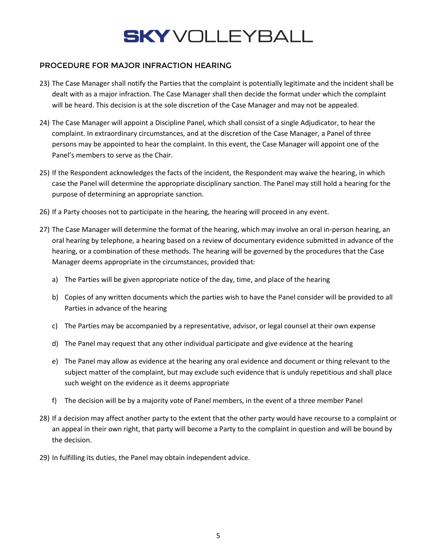### PROCEDURE FOR MAJOR INFRACTION HEARING

- 23) The Case Manager shall notify the Parties that the complaint is potentially legitimate and the incident shall be dealt with as a major infraction. The Case Manager shall then decide the format under which the complaint will be heard. This decision is at the sole discretion of the Case Manager and may not be appealed.
- 24) The Case Manager will appoint a Discipline Panel, which shall consist of a single Adjudicator, to hear the complaint. In extraordinary circumstances, and at the discretion of the Case Manager, a Panel of three persons may be appointed to hear the complaint. In this event, the Case Manager will appoint one of the Panel's members to serve as the Chair.
- 25) If the Respondent acknowledges the facts of the incident, the Respondent may waive the hearing, in which case the Panel will determine the appropriate disciplinary sanction. The Panel may still hold a hearing for the purpose of determining an appropriate sanction.
- 26) If a Party chooses not to participate in the hearing, the hearing will proceed in any event.
- 27) The Case Manager will determine the format of the hearing, which may involve an oral in-person hearing, an oral hearing by telephone, a hearing based on a review of documentary evidence submitted in advance of the hearing, or a combination of these methods. The hearing will be governed by the procedures that the Case Manager deems appropriate in the circumstances, provided that:
	- a) The Parties will be given appropriate notice of the day, time, and place of the hearing
	- b) Copies of any written documents which the parties wish to have the Panel consider will be provided to all Parties in advance of the hearing
	- c) The Parties may be accompanied by a representative, advisor, or legal counsel at their own expense
	- d) The Panel may request that any other individual participate and give evidence at the hearing
	- e) The Panel may allow as evidence at the hearing any oral evidence and document or thing relevant to the subject matter of the complaint, but may exclude such evidence that is unduly repetitious and shall place such weight on the evidence as it deems appropriate
	- f) The decision will be by a majority vote of Panel members, in the event of a three member Panel
- 28) If a decision may affect another party to the extent that the other party would have recourse to a complaint or an appeal in their own right, that party will become a Party to the complaint in question and will be bound by the decision.
- 29) In fulfilling its duties, the Panel may obtain independent advice.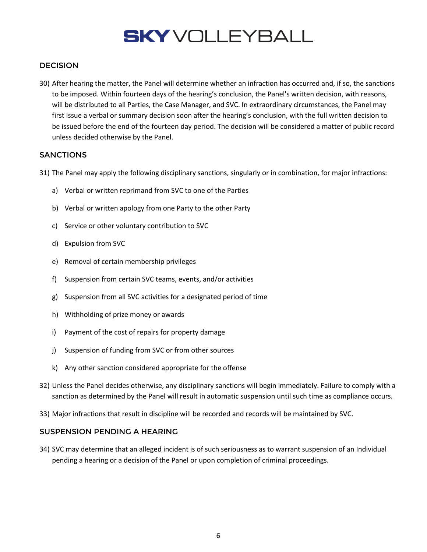### DECISION

30) After hearing the matter, the Panel will determine whether an infraction has occurred and, if so, the sanctions to be imposed. Within fourteen days of the hearing's conclusion, the Panel's written decision, with reasons, will be distributed to all Parties, the Case Manager, and SVC. In extraordinary circumstances, the Panel may first issue a verbal or summary decision soon after the hearing's conclusion, with the full written decision to be issued before the end of the fourteen day period. The decision will be considered a matter of public record unless decided otherwise by the Panel.

### **SANCTIONS**

- 31) The Panel may apply the following disciplinary sanctions, singularly or in combination, for major infractions:
	- a) Verbal or written reprimand from SVC to one of the Parties
	- b) Verbal or written apology from one Party to the other Party
	- c) Service or other voluntary contribution to SVC
	- d) Expulsion from SVC
	- e) Removal of certain membership privileges
	- f) Suspension from certain SVC teams, events, and/or activities
	- g) Suspension from all SVC activities for a designated period of time
	- h) Withholding of prize money or awards
	- i) Payment of the cost of repairs for property damage
	- j) Suspension of funding from SVC or from other sources
	- k) Any other sanction considered appropriate for the offense
- 32) Unless the Panel decides otherwise, any disciplinary sanctions will begin immediately. Failure to comply with a sanction as determined by the Panel will result in automatic suspension until such time as compliance occurs.
- 33) Major infractions that result in discipline will be recorded and records will be maintained by SVC.

### SUSPENSION PENDING A HEARING

34) SVC may determine that an alleged incident is of such seriousness as to warrant suspension of an Individual pending a hearing or a decision of the Panel or upon completion of criminal proceedings.